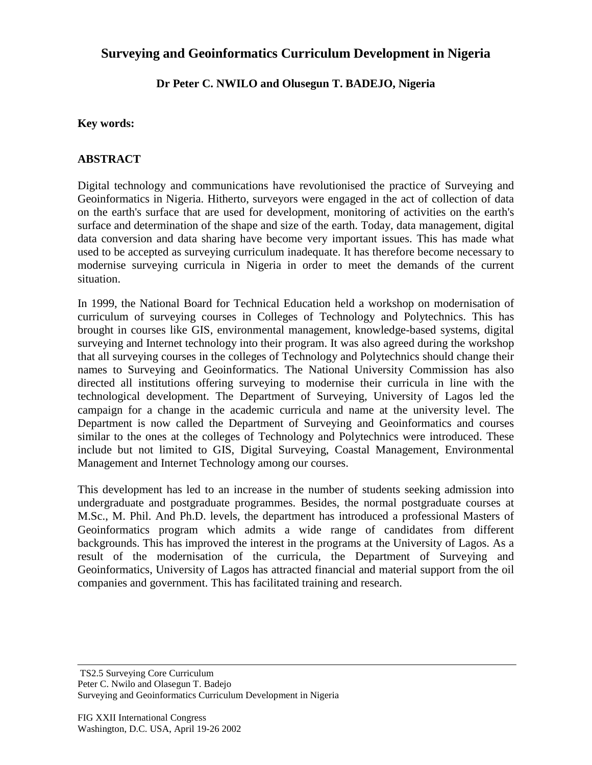## **Surveying and Geoinformatics Curriculum Development in Nigeria**

**Dr Peter C. NWILO and Olusegun T. BADEJO, Nigeria**

## **Key words:**

## **ABSTRACT**

Digital technology and communications have revolutionised the practice of Surveying and Geoinformatics in Nigeria. Hitherto, surveyors were engaged in the act of collection of data on the earth's surface that are used for development, monitoring of activities on the earth's surface and determination of the shape and size of the earth. Today, data management, digital data conversion and data sharing have become very important issues. This has made what used to be accepted as surveying curriculum inadequate. It has therefore become necessary to modernise surveying curricula in Nigeria in order to meet the demands of the current situation.

In 1999, the National Board for Technical Education held a workshop on modernisation of curriculum of surveying courses in Colleges of Technology and Polytechnics. This has brought in courses like GIS, environmental management, knowledge-based systems, digital surveying and Internet technology into their program. It was also agreed during the workshop that all surveying courses in the colleges of Technology and Polytechnics should change their names to Surveying and Geoinformatics. The National University Commission has also directed all institutions offering surveying to modernise their curricula in line with the technological development. The Department of Surveying, University of Lagos led the campaign for a change in the academic curricula and name at the university level. The Department is now called the Department of Surveying and Geoinformatics and courses similar to the ones at the colleges of Technology and Polytechnics were introduced. These include but not limited to GIS, Digital Surveying, Coastal Management, Environmental Management and Internet Technology among our courses.

This development has led to an increase in the number of students seeking admission into undergraduate and postgraduate programmes. Besides, the normal postgraduate courses at M.Sc., M. Phil. And Ph.D. levels, the department has introduced a professional Masters of Geoinformatics program which admits a wide range of candidates from different backgrounds. This has improved the interest in the programs at the University of Lagos. As a result of the modernisation of the curricula, the Department of Surveying and Geoinformatics, University of Lagos has attracted financial and material support from the oil companies and government. This has facilitated training and research.